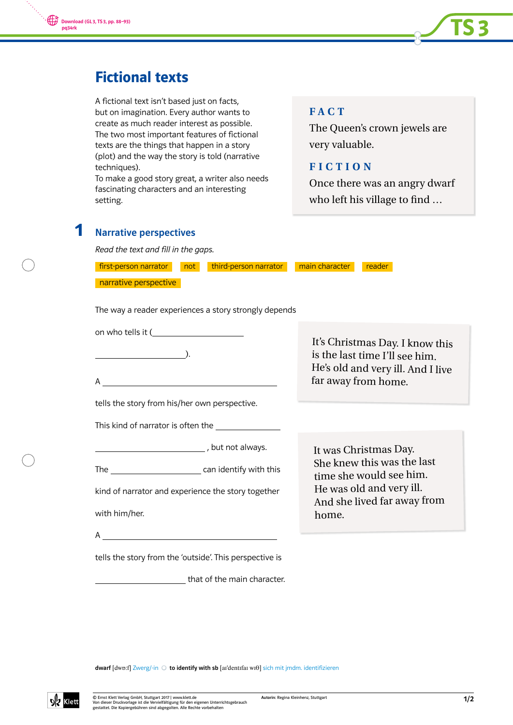



# Fictional texts

A fictional text isn't based just on facts, but on imagination. Every author wants to create as much reader interest as possible. The two most important features of fictional texts are the things that happen in a story (plot) and the way the story is told (narrative techniques).

To make a good story great, a writer also needs fascinating characters and an interesting setting.

## **FACT**

The Queen's crown jewels are very valuable.

### **FICTION**

Once there was an angry dwarf who left his village to find ...

### Narrative perspectives 1

Read the text and fill in the gaps.

| first-person narrator<br>third-person narrator<br>not   | main character<br>reader                                                                                                      |
|---------------------------------------------------------|-------------------------------------------------------------------------------------------------------------------------------|
| narrative perspective                                   |                                                                                                                               |
| The way a reader experiences a story strongly depends   |                                                                                                                               |
| on who tells it (                                       | It's Christmas Day. I know this<br>is the last time I'll see him.<br>He's old and very ill. And I live<br>far away from home. |
| tells the story from his/her own perspective.           |                                                                                                                               |
|                                                         |                                                                                                                               |
|                                                         | It was Christmas Day.                                                                                                         |
|                                                         | She knew this was the last<br>time she would see him.                                                                         |
| kind of narrator and experience the story together      | He was old and very ill.<br>And she lived far away from                                                                       |
| with him/her.                                           | home.                                                                                                                         |
|                                                         |                                                                                                                               |
| tells the story from the 'outside'. This perspective is |                                                                                                                               |
| that of the main character.                             |                                                                                                                               |

dwarf [dwɒ:f] Zwerg/-in  $\bigcirc$  to identify with sb [ar'dentifai wi0] sich mit jmdm. identifizieren